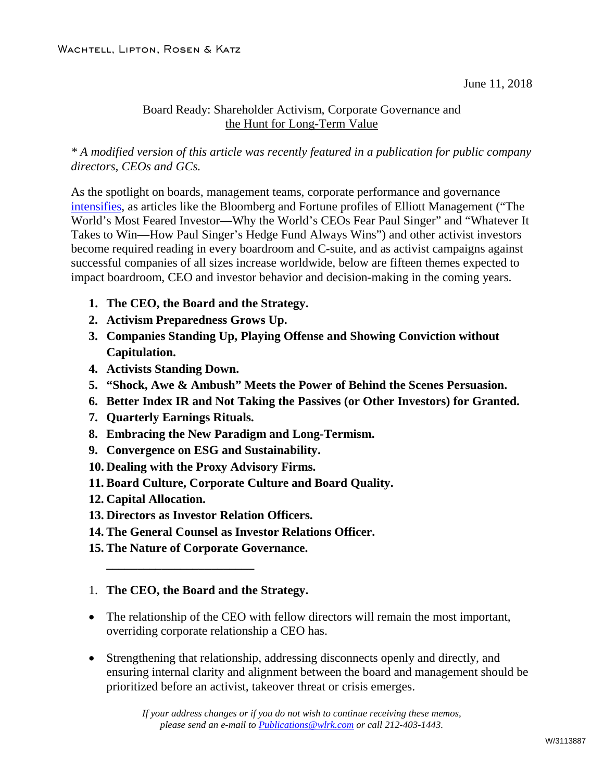June 11, 2018

#### Board Ready: Shareholder Activism, Corporate Governance and the Hunt for Long-Term Value

*\* A modified version of this article was recently featured in a publication for public company directors, CEOs and GCs.*

As the spotlight on boards, management teams, corporate performance and governance [intensifies,](http://www.wlrk.com/webdocs/wlrknew/WLRKMemos/WLRK/WLRK.25971.18.pdf) as articles like the Bloomberg and Fortune profiles of Elliott Management ("The World's Most Feared Investor—Why the World's CEOs Fear Paul Singer" and "Whatever It Takes to Win—How Paul Singer's Hedge Fund Always Wins") and other activist investors become required reading in every boardroom and C-suite, and as activist campaigns against successful companies of all sizes increase worldwide, below are fifteen themes expected to impact boardroom, CEO and investor behavior and decision-making in the coming years.

- **1. The CEO, the Board and the Strategy.**
- **2. Activism Preparedness Grows Up.**
- **3. Companies Standing Up, Playing Offense and Showing Conviction without Capitulation.**
- **4. Activists Standing Down.**
- **5. "Shock, Awe & Ambush" Meets the Power of Behind the Scenes Persuasion.**
- **6. Better Index IR and Not Taking the Passives (or Other Investors) for Granted.**
- **7. Quarterly Earnings Rituals.**
- **8. Embracing the New Paradigm and Long-Termism.**
- **9. Convergence on ESG and Sustainability.**
- **10. Dealing with the Proxy Advisory Firms.**
- **11. Board Culture, Corporate Culture and Board Quality.**
- **12. Capital Allocation.**
- **13. Directors as Investor Relation Officers.**
- **14. The General Counsel as Investor Relations Officer.**
- **15. The Nature of Corporate Governance.**

**\_\_\_\_\_\_\_\_\_\_\_\_\_\_\_\_\_\_\_\_\_\_\_\_**

#### 1. **The CEO, the Board and the Strategy.**

- The relationship of the CEO with fellow directors will remain the most important, overriding corporate relationship a CEO has.
- Strengthening that relationship, addressing disconnects openly and directly, and ensuring internal clarity and alignment between the board and management should be prioritized before an activist, takeover threat or crisis emerges.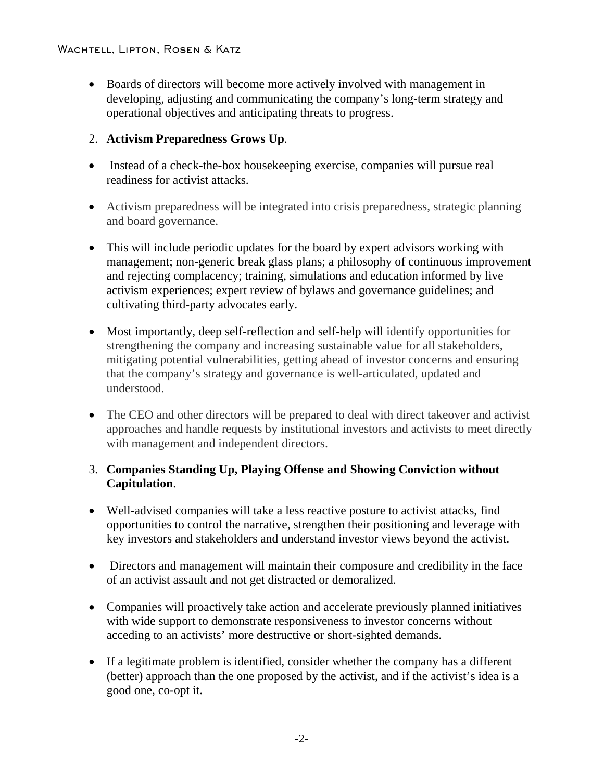• Boards of directors will become more actively involved with management in developing, adjusting and communicating the company's long-term strategy and operational objectives and anticipating threats to progress.

# 2. **Activism Preparedness Grows Up**.

- Instead of a check-the-box housekeeping exercise, companies will pursue real readiness for activist attacks.
- Activism preparedness will be integrated into crisis preparedness, strategic planning and board governance.
- This will include periodic updates for the board by expert advisors working with management; non-generic break glass plans; a philosophy of continuous improvement and rejecting complacency; training, simulations and education informed by live activism experiences; expert review of bylaws and governance guidelines; and cultivating third-party advocates early.
- Most importantly, deep self-reflection and self-help will identify opportunities for strengthening the company and increasing sustainable value for all stakeholders, mitigating potential vulnerabilities, getting ahead of investor concerns and ensuring that the company's strategy and governance is well-articulated, updated and understood.
- The CEO and other directors will be prepared to deal with direct takeover and activist approaches and handle requests by institutional investors and activists to meet directly with management and independent directors.

## 3. **Companies Standing Up, Playing Offense and Showing Conviction without Capitulation**.

- Well-advised companies will take a less reactive posture to activist attacks, find opportunities to control the narrative, strengthen their positioning and leverage with key investors and stakeholders and understand investor views beyond the activist.
- Directors and management will maintain their composure and credibility in the face of an activist assault and not get distracted or demoralized.
- Companies will proactively take action and accelerate previously planned initiatives with wide support to demonstrate responsiveness to investor concerns without acceding to an activists' more destructive or short-sighted demands.
- If a legitimate problem is identified, consider whether the company has a different (better) approach than the one proposed by the activist, and if the activist's idea is a good one, co-opt it.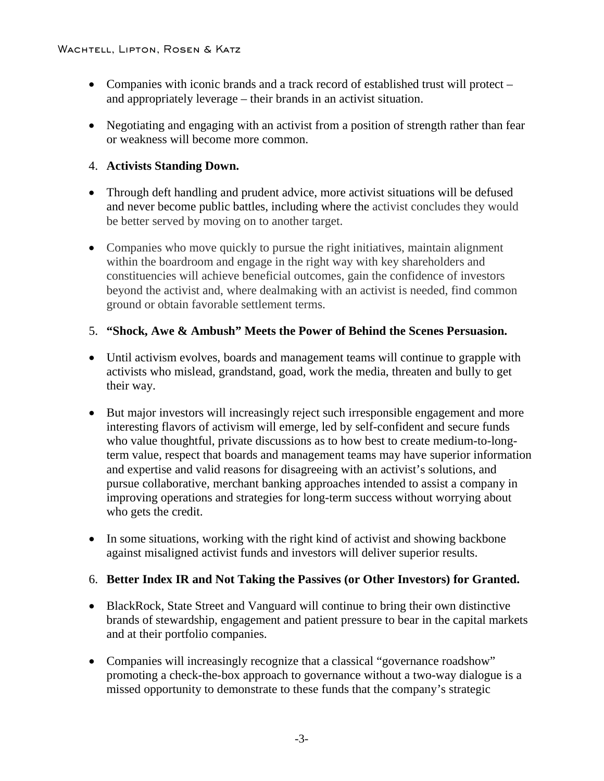- Companies with iconic brands and a track record of established trust will protect and appropriately leverage – their brands in an activist situation.
- Negotiating and engaging with an activist from a position of strength rather than fear or weakness will become more common.

## 4. **Activists Standing Down.**

- Through deft handling and prudent advice, more activist situations will be defused and never become public battles, including where the activist concludes they would be better served by moving on to another target.
- Companies who move quickly to pursue the right initiatives, maintain alignment within the boardroom and engage in the right way with key shareholders and constituencies will achieve beneficial outcomes, gain the confidence of investors beyond the activist and, where dealmaking with an activist is needed, find common ground or obtain favorable settlement terms.

# 5. **"Shock, Awe & Ambush" Meets the Power of Behind the Scenes Persuasion.**

- Until activism evolves, boards and management teams will continue to grapple with activists who mislead, grandstand, goad, work the media, threaten and bully to get their way.
- But major investors will increasingly reject such irresponsible engagement and more interesting flavors of activism will emerge, led by self-confident and secure funds who value thoughtful, private discussions as to how best to create medium-to-longterm value, respect that boards and management teams may have superior information and expertise and valid reasons for disagreeing with an activist's solutions, and pursue collaborative, merchant banking approaches intended to assist a company in improving operations and strategies for long-term success without worrying about who gets the credit.
- In some situations, working with the right kind of activist and showing backbone against misaligned activist funds and investors will deliver superior results.

# 6. **Better Index IR and Not Taking the Passives (or Other Investors) for Granted.**

- BlackRock, State Street and Vanguard will continue to bring their own distinctive brands of stewardship, engagement and patient pressure to bear in the capital markets and at their portfolio companies.
- Companies will increasingly recognize that a classical "governance roadshow" promoting a check-the-box approach to governance without a two-way dialogue is a missed opportunity to demonstrate to these funds that the company's strategic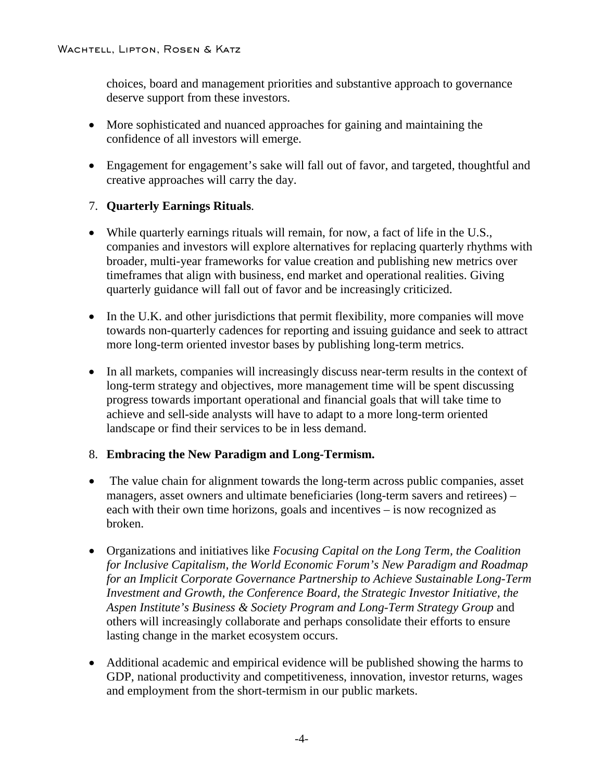choices, board and management priorities and substantive approach to governance deserve support from these investors.

- More sophisticated and nuanced approaches for gaining and maintaining the confidence of all investors will emerge.
- Engagement for engagement's sake will fall out of favor, and targeted, thoughtful and creative approaches will carry the day.

## 7. **Quarterly Earnings Rituals**.

- While quarterly earnings rituals will remain, for now, a fact of life in the U.S., companies and investors will explore alternatives for replacing quarterly rhythms with broader, multi-year frameworks for value creation and publishing new metrics over timeframes that align with business, end market and operational realities. Giving quarterly guidance will fall out of favor and be increasingly criticized.
- In the U.K. and other jurisdictions that permit flexibility, more companies will move towards non-quarterly cadences for reporting and issuing guidance and seek to attract more long-term oriented investor bases by publishing long-term metrics.
- In all markets, companies will increasingly discuss near-term results in the context of long-term strategy and objectives, more management time will be spent discussing progress towards important operational and financial goals that will take time to achieve and sell-side analysts will have to adapt to a more long-term oriented landscape or find their services to be in less demand.

## 8. **Embracing the New Paradigm and Long-Termism.**

- The value chain for alignment towards the long-term across public companies, asset managers, asset owners and ultimate beneficiaries (long-term savers and retirees) – each with their own time horizons, goals and incentives – is now recognized as broken.
- Organizations and initiatives like *Focusing Capital on the Long Term, the Coalition for Inclusive Capitalism, the World Economic Forum's New Paradigm and Roadmap for an Implicit Corporate Governance Partnership to Achieve Sustainable Long-Term Investment and Growth, the Conference Board, the Strategic Investor Initiative, the Aspen Institute's Business & Society Program and Long-Term Strategy Group* and others will increasingly collaborate and perhaps consolidate their efforts to ensure lasting change in the market ecosystem occurs.
- Additional academic and empirical evidence will be published showing the harms to GDP, national productivity and competitiveness, innovation, investor returns, wages and employment from the short-termism in our public markets.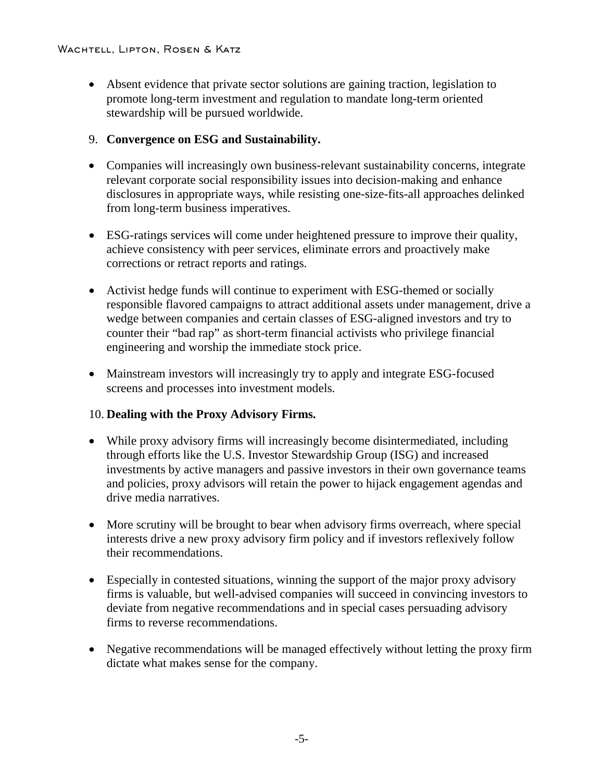• Absent evidence that private sector solutions are gaining traction, legislation to promote long-term investment and regulation to mandate long-term oriented stewardship will be pursued worldwide.

#### 9. **Convergence on ESG and Sustainability.**

- Companies will increasingly own business-relevant sustainability concerns, integrate relevant corporate social responsibility issues into decision-making and enhance disclosures in appropriate ways, while resisting one-size-fits-all approaches delinked from long-term business imperatives.
- ESG-ratings services will come under heightened pressure to improve their quality, achieve consistency with peer services, eliminate errors and proactively make corrections or retract reports and ratings.
- Activist hedge funds will continue to experiment with ESG-themed or socially responsible flavored campaigns to attract additional assets under management, drive a wedge between companies and certain classes of ESG-aligned investors and try to counter their "bad rap" as short-term financial activists who privilege financial engineering and worship the immediate stock price.
- Mainstream investors will increasingly try to apply and integrate ESG-focused screens and processes into investment models.

## 10. **Dealing with the Proxy Advisory Firms.**

- While proxy advisory firms will increasingly become disintermediated, including through efforts like the U.S. Investor Stewardship Group (ISG) and increased investments by active managers and passive investors in their own governance teams and policies, proxy advisors will retain the power to hijack engagement agendas and drive media narratives.
- More scrutiny will be brought to bear when advisory firms overreach, where special interests drive a new proxy advisory firm policy and if investors reflexively follow their recommendations.
- Especially in contested situations, winning the support of the major proxy advisory firms is valuable, but well-advised companies will succeed in convincing investors to deviate from negative recommendations and in special cases persuading advisory firms to reverse recommendations.
- Negative recommendations will be managed effectively without letting the proxy firm dictate what makes sense for the company.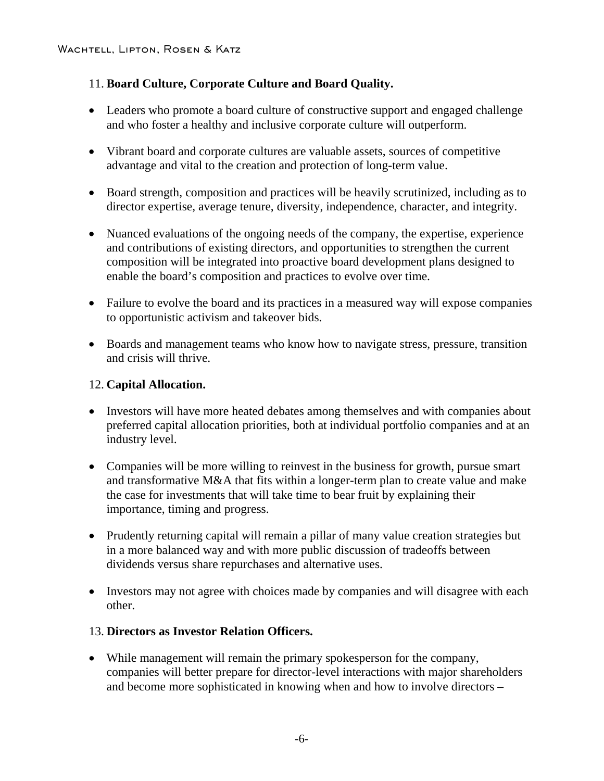# 11. **Board Culture, Corporate Culture and Board Quality.**

- Leaders who promote a board culture of constructive support and engaged challenge and who foster a healthy and inclusive corporate culture will outperform.
- Vibrant board and corporate cultures are valuable assets, sources of competitive advantage and vital to the creation and protection of long-term value.
- Board strength, composition and practices will be heavily scrutinized, including as to director expertise, average tenure, diversity, independence, character, and integrity.
- Nuanced evaluations of the ongoing needs of the company, the expertise, experience and contributions of existing directors, and opportunities to strengthen the current composition will be integrated into proactive board development plans designed to enable the board's composition and practices to evolve over time.
- Failure to evolve the board and its practices in a measured way will expose companies to opportunistic activism and takeover bids.
- Boards and management teams who know how to navigate stress, pressure, transition and crisis will thrive.

#### 12. **Capital Allocation.**

- Investors will have more heated debates among themselves and with companies about preferred capital allocation priorities, both at individual portfolio companies and at an industry level.
- Companies will be more willing to reinvest in the business for growth, pursue smart and transformative M&A that fits within a longer-term plan to create value and make the case for investments that will take time to bear fruit by explaining their importance, timing and progress.
- Prudently returning capital will remain a pillar of many value creation strategies but in a more balanced way and with more public discussion of tradeoffs between dividends versus share repurchases and alternative uses.
- Investors may not agree with choices made by companies and will disagree with each other.

## 13. **Directors as Investor Relation Officers.**

• While management will remain the primary spokesperson for the company, companies will better prepare for director-level interactions with major shareholders and become more sophisticated in knowing when and how to involve directors –